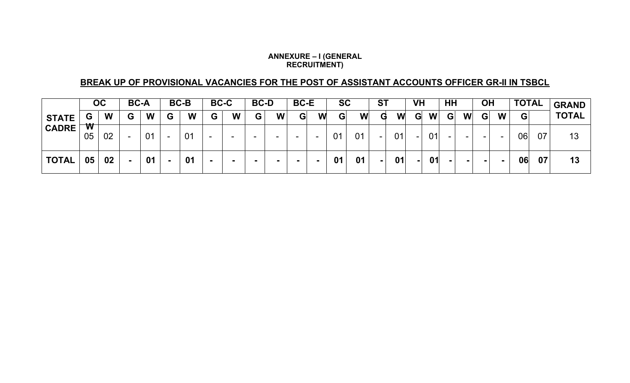#### **ANNEXURE – I (GENERAL RECRUITMENT)**

## **BREAK UP OF PROVISIONAL VACANCIES FOR THE POST OF ASSISTANT ACCOUNTS OFFICER GR-II IN TSBCL**

|                              | OC                            |    | <b>BC-A</b> |    | <b>BC-B</b> |    | <b>BC-C</b> |   | <b>BC-D</b> |        | <b>BC-E</b> |                          | <b>SC</b> |    | <b>ST</b> |    | VH |    | HH |   | <b>OH</b> |        | <b>TOTAL</b> |    | <b>GRAND</b> |
|------------------------------|-------------------------------|----|-------------|----|-------------|----|-------------|---|-------------|--------|-------------|--------------------------|-----------|----|-----------|----|----|----|----|---|-----------|--------|--------------|----|--------------|
| <b>STATE</b><br><b>CADRE</b> | G                             | W  | G           | W  | G           | W  | G           | W | G           | W      | G           | W                        | G         | W  | G         | W  | G  | W  | G  | W | G         | W      | G            |    | <b>TOTAL</b> |
|                              | $\overline{\textbf{w}}$<br>05 | 02 | -           | 01 | $\sim$      | 01 | -           |   | -           | $\sim$ |             | $\overline{\phantom{a}}$ | 01        | 01 | $\sim$    | 01 | -  | 01 |    | - | -         | $\sim$ | 06           | 07 | 13           |
| <b>TOTAL</b>                 | 05                            | 02 |             | 01 | ж.          | 01 |             |   |             | . .    |             |                          | 01        | 01 | н.        | 01 |    | 01 |    |   | . .       | $\sim$ | 06           | 07 | 13           |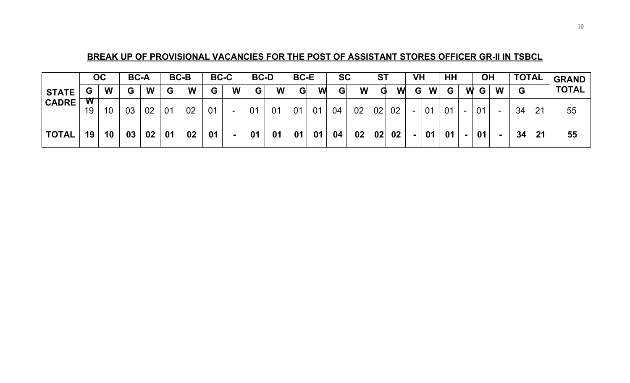## **BREAK UP OF PROVISIONAL VACANCIES FOR THE POST OF ASSISTANT STORES OFFICER GR-II IN TSBCL**

|              | OC                 |    |    | <b>BC-A</b> |                | <b>BC-B</b> |    | <b>BC-C</b>              |    | <b>BC-D</b> |    | <b>BC-E</b> |    | <b>SC</b> |    | <b>ST</b> |   | <b>VH</b> |              |   | <b>OH</b> |                          | <b>TOTAL</b> |    | <b>GRAND</b> |
|--------------|--------------------|----|----|-------------|----------------|-------------|----|--------------------------|----|-------------|----|-------------|----|-----------|----|-----------|---|-----------|--------------|---|-----------|--------------------------|--------------|----|--------------|
| <b>STATE</b> | G                  | W  | G  | W           | G              | W           | G  | W                        | G  | W           | G  | W           | G  | W         | G  | W         | G | W         | $\mathbf{G}$ | W | G         | W                        | G            |    | <b>TOTAL</b> |
| <b>CADRE</b> | $\mathbf{w}$<br>19 | 10 | 03 | 02          | 0 <sub>1</sub> | 02          | 01 | $\overline{\phantom{a}}$ | 01 | 01          | 01 | 01          | 04 | 02        | 02 | 02        |   | 01        | 01           |   | 01        | $\overline{\phantom{a}}$ | 34           | 21 | 55           |
| <b>TOTAL</b> | 19                 | 10 | 03 | 02          | 01             | 02          | 01 |                          | 01 | 01          | 01 | 01          | 04 | 02        | 02 | 02        |   | 01        | 01           |   | 01        |                          | 34           | 21 | 55           |